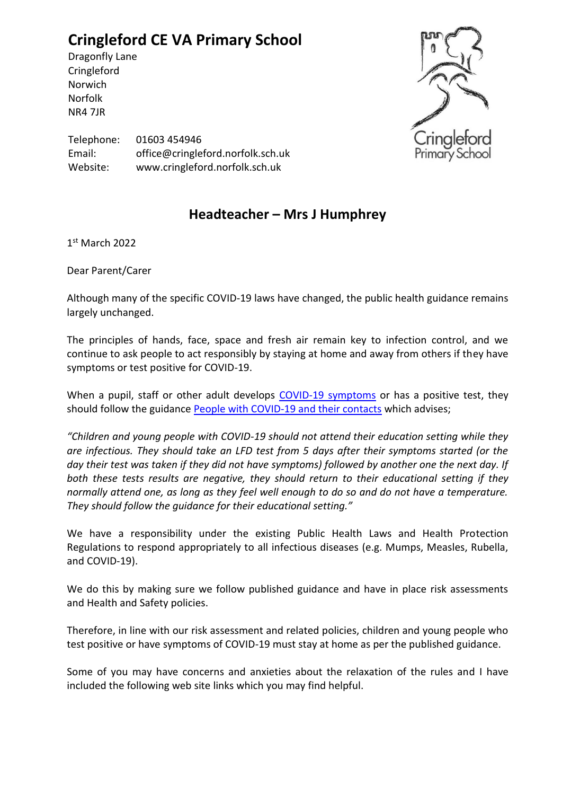## **Cringleford CE VA Primary School**

Dragonfly Lane **Cringleford** Norwich Norfolk NR4 7JR



Telephone: 01603 454946 Email: office@cringleford.norfolk.sch.uk Website: www.cringleford.norfolk.sch.uk

## **Headteacher – Mrs J Humphrey**

1 st March 2022

Dear Parent/Carer

Although many of the specific COVID-19 laws have changed, the public health guidance remains largely unchanged.

The principles of hands, face, space and fresh air remain key to infection control, and we continue to ask people to act responsibly by staying at home and away from others if they have symptoms or test positive for COVID-19.

When a pupil, staff or other adult develops [COVID-19 symptoms](https://www.nhs.uk/conditions/coronavirus-covid-19/symptoms/) or has a positive test, they should follow the guidance [People with COVID-19 and their contacts](https://www.gov.uk/government/publications/covid-19-people-with-covid-19-and-their-contacts) which advises;

*"Children and young people with COVID-19 should not attend their education setting while they are infectious. They should take an LFD test from 5 days after their symptoms started (or the day their test was taken if they did not have symptoms) followed by another one the next day. If both these tests results are negative, they should return to their educational setting if they normally attend one, as long as they feel well enough to do so and do not have a temperature. They should follow the guidance for their educational setting."*

We have a responsibility under the existing Public Health Laws and Health Protection Regulations to respond appropriately to all infectious diseases (e.g. Mumps, Measles, Rubella, and COVID-19).

We do this by making sure we follow published guidance and have in place risk assessments and Health and Safety policies.

Therefore, in line with our risk assessment and related policies, children and young people who test positive or have symptoms of COVID-19 must stay at home as per the published guidance.

Some of you may have concerns and anxieties about the relaxation of the rules and I have included the following web site links which you may find helpful.